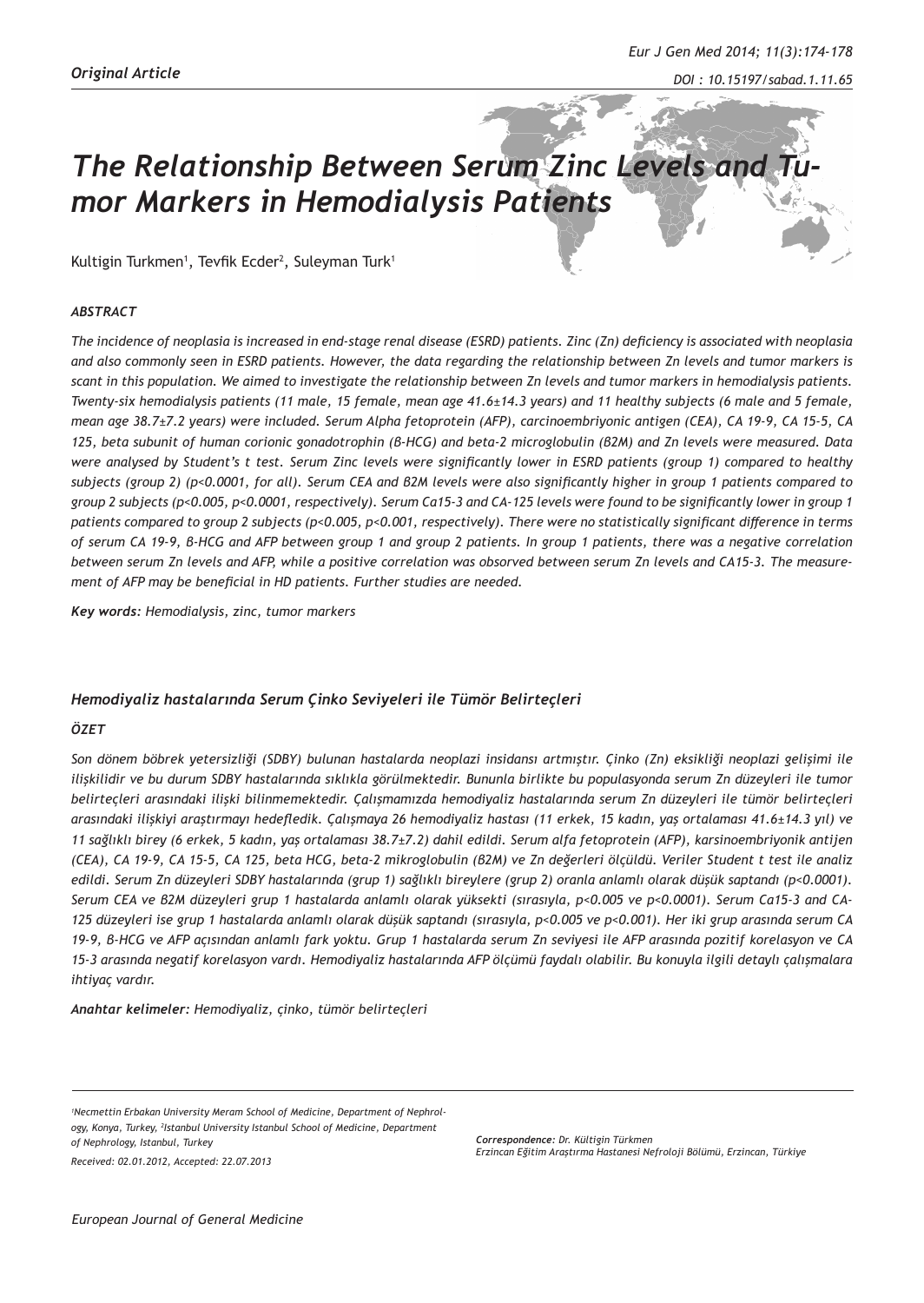# **The Relationship Between Serum Zinc Levels and** *mor Markers in Hemodialysis Patients*

Kultigin Turkmen<sup>1</sup>, Tevfik Ecder<sup>2</sup>, Suleyman Turk<sup>1</sup>

#### *ABSTRACT*

*The incidence of neoplasia is increased in end-stage renal disease (ESRD) patients. Zinc (Zn) deficiency is associated with neoplasia and also commonly seen in ESRD patients. However, the data regarding the relationship between Zn levels and tumor markers is scant in this population. We aimed to investigate the relationship between Zn levels and tumor markers in hemodialysis patients. Twenty-six hemodialysis patients (11 male, 15 female, mean age 41.6±14.3 years) and 11 healthy subjects (6 male and 5 female, mean age 38.7±7.2 years) were included. Serum Alpha fetoprotein (AFP), carcinoembriyonic antigen (CEA), CA 19-9, CA 15-5, CA 125, beta subunit of human corionic gonadotrophin (β-HCG) and beta-2 microglobulin (β2M) and Zn levels were measured. Data were analysed by Student's t test. Serum Zinc levels were significantly lower in ESRD patients (group 1) compared to healthy subjects (group 2) (p<0.0001, for all). Serum CEA and β2M levels were also significantly higher in group 1 patients compared to group 2 subjects (p<0.005, p<0.0001, respectively). Serum Ca15-3 and CA-125 levels were found to be significantly lower in group 1 patients compared to group 2 subjects (p<0.005, p<0.001, respectively). There were no statistically significant difference in terms of serum CA 19-9, β-HCG and AFP between group 1 and group 2 patients. In group 1 patients, there was a negative correlation between serum Zn levels and AFP, while a positive correlation was obsorved between serum Zn levels and CA15-3. The measurement of AFP may be beneficial in HD patients. Further studies are needed.*

*Key words: Hemodialysis, zinc, tumor markers*

# *Hemodiyaliz hastalarında Serum Çinko Seviyeleri ile Tümör Belirteçleri*

# *ÖZET*

*Son dönem böbrek yetersizliği (SDBY) bulunan hastalarda neoplazi insidansı artmıştır. Çinko (Zn) eksikliği neoplazi gelişimi ile ilişkilidir ve bu durum SDBY hastalarında sıklıkla görülmektedir. Bununla birlikte bu populasyonda serum Zn düzeyleri ile tumor belirteçleri arasındaki ilişki bilinmemektedir. Çalışmamızda hemodiyaliz hastalarında serum Zn düzeyleri ile tümör belirteçleri arasındaki ilişkiyi araştırmayı hedefledik. Çalışmaya 26 hemodiyaliz hastası (11 erkek, 15 kadın, yaş ortalaması 41.6±14.3 yıl) ve 11 sağlıklı birey (6 erkek, 5 kadın, yaş ortalaması 38.7±7.2) dahil edildi. Serum alfa fetoprotein (AFP), karsinoembriyonik antijen (CEA), CA 19-9, CA 15-5, CA 125, beta HCG, beta-2 mikroglobulin (β2M) ve Zn değerleri ölçüldü. Veriler Student t test ile analiz edildi. Serum Zn düzeyleri SDBY hastalarında (grup 1) sağlıklı bireylere (grup 2) oranla anlamlı olarak düşük saptandı (p<0.0001). Serum CEA ve β2M düzeyleri grup 1 hastalarda anlamlı olarak yüksekti (sırasıyla, p<0.005 ve p<0.0001). Serum Ca15-3 and CA-125 düzeyleri ise grup 1 hastalarda anlamlı olarak düşük saptandı (sırasıyla, p<0.005 ve p<0.001). Her iki grup arasında serum CA 19-9, β-HCG ve AFP açısından anlamlı fark yoktu. Grup 1 hastalarda serum Zn seviyesi ile AFP arasında pozitif korelasyon ve CA 15-3 arasında negatif korelasyon vardı. Hemodiyaliz hastalarında AFP ölçümü faydalı olabilir. Bu konuyla ilgili detaylı çalışmalara ihtiyaç vardır.*

*Anahtar kelimeler: Hemodiyaliz, çinko, tümör belirteçleri* 

*Received: 02.01.2012, Accepted: 22.07.2013*

*Correspondence: Dr. Kültigin Türkmen Erzincan Eğitim Araştırma Hastanesi Nefroloji Bölümü, Erzincan, Türkiye*

*<sup>1</sup> Necmettin Erbakan University Meram School of Medicine, Department of Nephrology, Konya, Turkey, 2 Istanbul University Istanbul School of Medicine, Department of Nephrology, Istanbul, Turkey*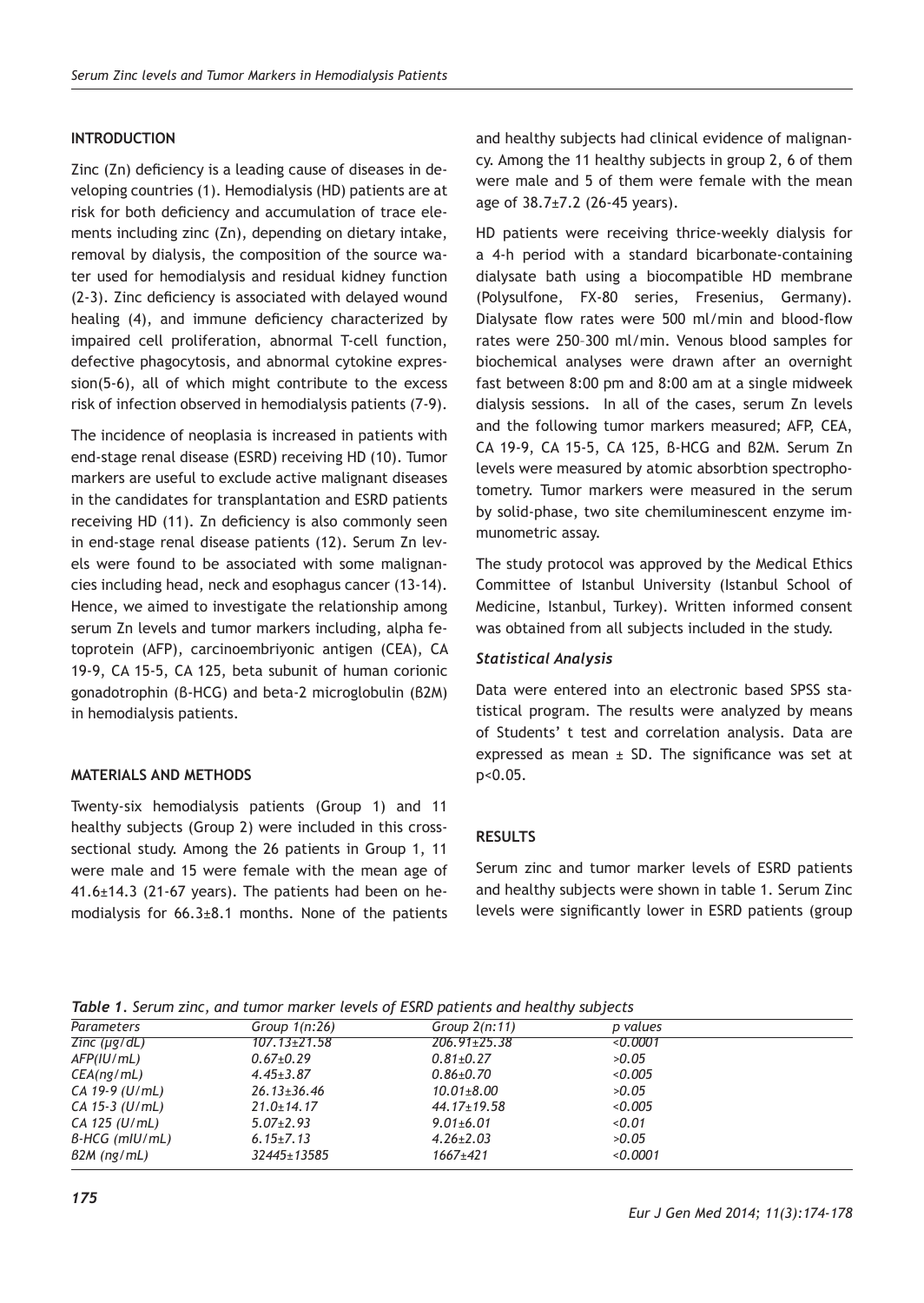# **INTRODUCTION**

Zinc (Zn) deficiency is a leading cause of diseases in developing countries (1). Hemodialysis (HD) patients are at risk for both deficiency and accumulation of trace elements including zinc (Zn), depending on dietary intake, removal by dialysis, the composition of the source water used for hemodialysis and residual kidney function (2-3). Zinc deficiency is associated with delayed wound healing (4), and immune deficiency characterized by impaired cell proliferation, abnormal T-cell function, defective phagocytosis, and abnormal cytokine expression(5-6), all of which might contribute to the excess risk of infection observed in hemodialysis patients (7-9).

The incidence of neoplasia is increased in patients with end-stage renal disease (ESRD) receiving HD (10). Tumor markers are useful to exclude active malignant diseases in the candidates for transplantation and ESRD patients receiving HD (11). Zn deficiency is also commonly seen in end-stage renal disease patients (12). Serum Zn levels were found to be associated with some malignancies including head, neck and esophagus cancer (13-14). Hence, we aimed to investigate the relationship among serum Zn levels and tumor markers including, alpha fetoprotein (AFP), carcinoembriyonic antigen (CEA), CA 19-9, CA 15-5, CA 125, beta subunit of human corionic gonadotrophin (β-HCG) and beta-2 microglobulin (β2M) in hemodialysis patients.

# **MATERIALS AND METHODS**

Twenty-six hemodialysis patients (Group 1) and 11 healthy subjects (Group 2) were included in this crosssectional study. Among the 26 patients in Group 1, 11 were male and 15 were female with the mean age of 41.6±14.3 (21-67 years). The patients had been on hemodialysis for 66.3±8.1 months. None of the patients

and healthy subjects had clinical evidence of malignancy. Among the 11 healthy subjects in group 2, 6 of them were male and 5 of them were female with the mean age of 38.7±7.2 (26-45 years).

HD patients were receiving thrice-weekly dialysis for a 4-h period with a standard bicarbonate-containing dialysate bath using a biocompatible HD membrane (Polysulfone, FX-80 series, Fresenius, Germany). Dialysate flow rates were 500 ml/min and blood-flow rates were 250–300 ml/min. Venous blood samples for biochemical analyses were drawn after an overnight fast between 8:00 pm and 8:00 am at a single midweek dialysis sessions. In all of the cases, serum Zn levels and the following tumor markers measured; AFP, CEA, CA 19-9, CA 15-5, CA 125, β-HCG and β2M. Serum Zn levels were measured by atomic absorbtion spectrophotometry. Tumor markers were measured in the serum by solid-phase, two site chemiluminescent enzyme immunometric assay.

The study protocol was approved by the Medical Ethics Committee of Istanbul University (Istanbul School of Medicine, Istanbul, Turkey). Written informed consent was obtained from all subjects included in the study.

#### *Statistical Analysis*

Data were entered into an electronic based SPSS statistical program. The results were analyzed by means of Students' t test and correlation analysis. Data are expressed as mean  $\pm$  SD. The significance was set at p<0.05.

# **RESULTS**

Serum zinc and tumor marker levels of ESRD patients and healthy subjects were shown in table 1. Serum Zinc levels were significantly lower in ESRD patients (group

*Eur J Gen Med 2014; 11(3):174-178*

*Table 1. Serum zinc, and tumor marker levels of ESRD patients and healthy subjects*

| Parameters                              | Group $1(n:26)$    | Group $2(n:11)$    | p values |  |
|-----------------------------------------|--------------------|--------------------|----------|--|
| $\overline{Z}$ <i>inc</i> ( $\mu$ g/dL) | $107.13{\pm}21.58$ | $206.91 \pm 25.38$ | 0.0001   |  |
| AFP(IU/mL)                              | $0.67{\pm}0.29$    | $0.81 \pm 0.27$    | >0.05    |  |
| CEA(nq/mL)                              | $4.45 \pm 3.87$    | $0.86 \pm 0.70$    | < 0.005  |  |
| $CA$ 19-9 (U/mL)                        | $26.13 \pm 36.46$  | $10.01 \pm 8.00$   | >0.05    |  |
| $CA$ 15-3 (U/mL)                        | $21.0 \pm 14.17$   | $44.17 \pm 19.58$  | < 0.005  |  |
| $CA$ 125 (U/mL)                         | $5.07 \pm 2.93$    | $9.01 \pm 6.01$    | < 0.01   |  |
| $B-HCG$ (mlU/mL)                        | $6.15 \pm 7.13$    | $4.26 \pm 2.03$    | >0.05    |  |
| $B2M$ (ng/mL)                           | 32445±13585        | $1667 + 421$       | < 0.0001 |  |
|                                         |                    |                    |          |  |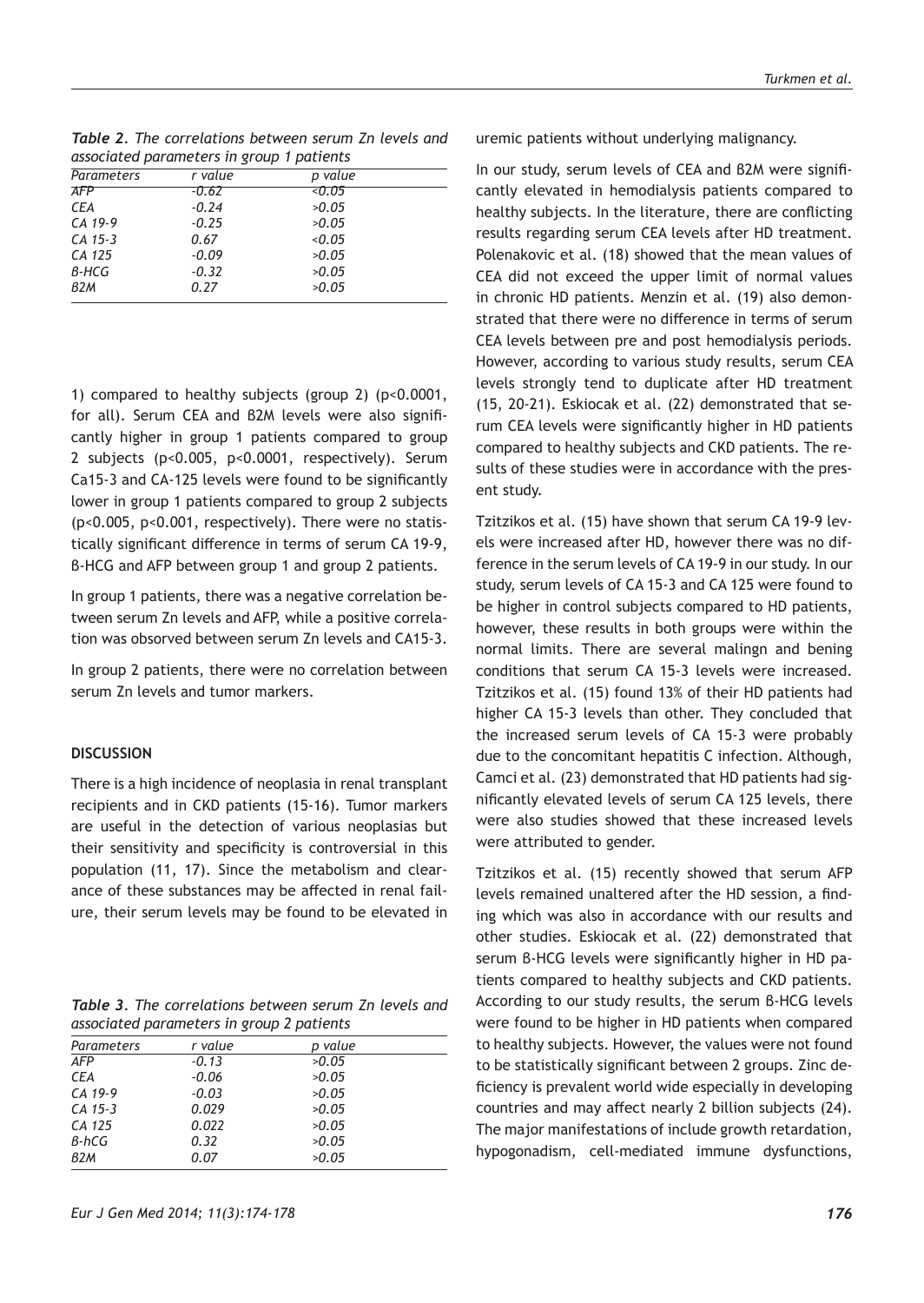*Table 2. The correlations between serum Zn levels and associated parameters in group 1 patients*

| <b>Parameters</b> | r value | p value |  |
|-------------------|---------|---------|--|
| <b>AFP</b>        | -0.62   | <0.05   |  |
| <b>CEA</b>        | $-0.24$ | >0.05   |  |
| CA 19-9           | $-0.25$ | >0.05   |  |
| $CA$ 15-3         | 0.67    | < 0.05  |  |
| CA 125            | $-0.09$ | >0.05   |  |
| B-HCG             | $-0.32$ | >0.05   |  |
| B2M               | 0.27    | >0.05   |  |
|                   |         |         |  |

1) compared to healthy subjects (group 2) (p<0.0001, for all). Serum CEA and β2M levels were also significantly higher in group 1 patients compared to group 2 subjects (p<0.005, p<0.0001, respectively). Serum Ca15-3 and CA-125 levels were found to be significantly lower in group 1 patients compared to group 2 subjects (p<0.005, p<0.001, respectively). There were no statistically significant difference in terms of serum CA 19-9, β-HCG and AFP between group 1 and group 2 patients.

In group 1 patients, there was a negative correlation between serum Zn levels and AFP, while a positive correlation was obsorved between serum Zn levels and CA15-3.

In group 2 patients, there were no correlation between serum Zn levels and tumor markers.

### **DISCUSSION**

There is a high incidence of neoplasia in renal transplant recipients and in CKD patients (15-16). Tumor markers are useful in the detection of various neoplasias but their sensitivity and specificity is controversial in this population (11, 17). Since the metabolism and clearance of these substances may be affected in renal failure, their serum levels may be found to be elevated in

|  | <b>Table 3.</b> The correlations between serum Zn levels and |  |  |
|--|--------------------------------------------------------------|--|--|
|  | associated parameters in group 2 patients                    |  |  |

| Parameters | r value | p value |  |
|------------|---------|---------|--|
| AFP        | $-0.13$ | >0.05   |  |
| <b>CEA</b> | $-0.06$ | >0.05   |  |
| CA 19-9    | $-0.03$ | >0.05   |  |
| $CA$ 15-3  | 0.029   | >0.05   |  |
| CA 125     | 0.022   | >0.05   |  |
| B-hCG      | 0.32    | >0.05   |  |
| B2M        | 0.07    | >0.05   |  |

uremic patients without underlying malignancy.

In our study, serum levels of CEA and β2M were significantly elevated in hemodialysis patients compared to healthy subjects. In the literature, there are conflicting results regarding serum CEA levels after HD treatment. Polenakovic et al. (18) showed that the mean values of CEA did not exceed the upper limit of normal values in chronic HD patients. Menzin et al. (19) also demonstrated that there were no difference in terms of serum CEA levels between pre and post hemodialysis periods. However, according to various study results, serum CEA levels strongly tend to duplicate after HD treatment (15, 20-21). Eskiocak et al. (22) demonstrated that serum CEA levels were significantly higher in HD patients compared to healthy subjects and CKD patients. The results of these studies were in accordance with the present study.

Tzitzikos et al. (15) have shown that serum CA 19-9 levels were increased after HD, however there was no difference in the serum levels of CA 19-9 in our study. In our study, serum levels of CA 15-3 and CA 125 were found to be higher in control subjects compared to HD patients, however, these results in both groups were within the normal limits. There are several malingn and bening conditions that serum CA 15-3 levels were increased. Tzitzikos et al. (15) found 13% of their HD patients had higher CA 15-3 levels than other. They concluded that the increased serum levels of CA 15-3 were probably due to the concomitant hepatitis C infection. Although, Camci et al. (23) demonstrated that HD patients had significantly elevated levels of serum CA 125 levels, there were also studies showed that these increased levels were attributed to gender.

Tzitzikos et al. (15) recently showed that serum AFP levels remained unaltered after the HD session, a finding which was also in accordance with our results and other studies. Eskiocak et al. (22) demonstrated that serum β-HCG levels were significantly higher in HD patients compared to healthy subjects and CKD patients. According to our study results, the serum β-HCG levels were found to be higher in HD patients when compared to healthy subjects. However, the values were not found to be statistically significant between 2 groups. Zinc deficiency is prevalent world wide especially in developing countries and may affect nearly 2 billion subjects (24). The major manifestations of include growth retardation, hypogonadism, cell-mediated immune dysfunctions,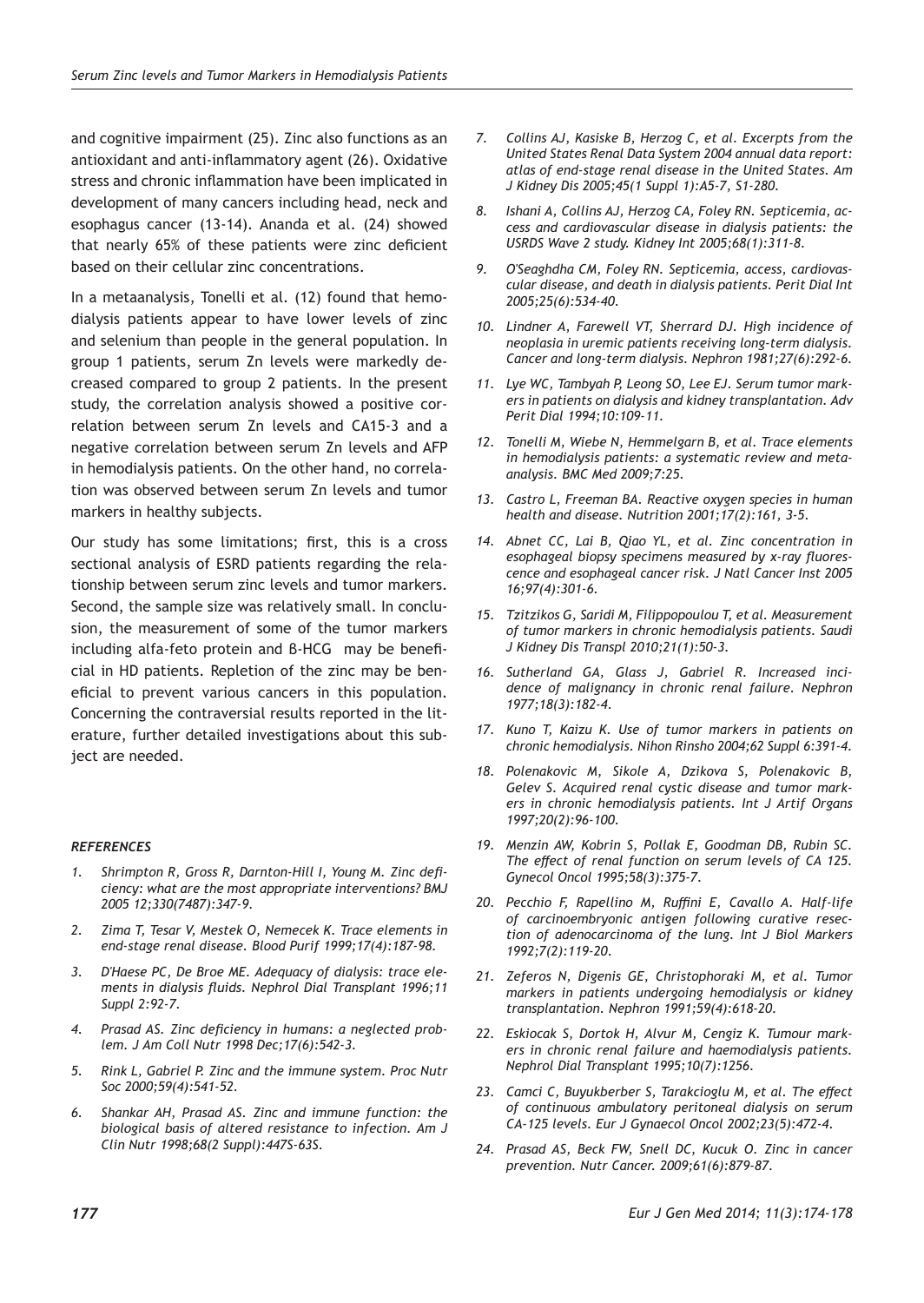and cognitive impairment (25). Zinc also functions as an antioxidant and anti-inflammatory agent (26). Oxidative stress and chronic inflammation have been implicated in development of many cancers including head, neck and esophagus cancer (13-14). Ananda et al. (24) showed that nearly 65% of these patients were zinc deficient based on their cellular zinc concentrations.

In a metaanalysis, Tonelli et al. (12) found that hemodialysis patients appear to have lower levels of zinc and selenium than people in the general population. In group 1 patients, serum Zn levels were markedly decreased compared to group 2 patients. In the present study, the correlation analysis showed a positive correlation between serum Zn levels and CA15-3 and a negative correlation between serum Zn levels and AFP in hemodialysis patients. On the other hand, no correlation was observed between serum Zn levels and tumor markers in healthy subjects.

Our study has some limitations; first, this is a cross sectional analysis of ESRD patients regarding the relationship between serum zinc levels and tumor markers. Second, the sample size was relatively small. In conclusion, the measurement of some of the tumor markers including alfa-feto protein and β-HCG may be beneficial in HD patients. Repletion of the zinc may be beneficial to prevent various cancers in this population. Concerning the contraversial results reported in the literature, further detailed investigations about this subject are needed.

## *REFERENCES*

- *1. Shrimpton R, Gross R, Darnton-Hill I, Young M. Zinc deficiency: what are the most appropriate interventions? BMJ 2005 12;330(7487):347-9.*
- *2. Zima T, Tesar V, Mestek O, Nemecek K. Trace elements in end-stage renal disease. Blood Purif 1999;17(4):187-98.*
- *3. D'Haese PC, De Broe ME. Adequacy of dialysis: trace elements in dialysis fluids. Nephrol Dial Transplant 1996;11 Suppl 2:92-7.*
- *4. Prasad AS. Zinc deficiency in humans: a neglected problem. J Am Coll Nutr 1998 Dec;17(6):542-3.*
- *5. Rink L, Gabriel P. Zinc and the immune system. Proc Nutr Soc 2000;59(4):541-52.*
- *6. Shankar AH, Prasad AS. Zinc and immune function: the biological basis of altered resistance to infection. Am J Clin Nutr 1998;68(2 Suppl):447S-63S.*
- *7. Collins AJ, Kasiske B, Herzog C, et al. Excerpts from the United States Renal Data System 2004 annual data report: atlas of end-stage renal disease in the United States. Am J Kidney Dis 2005;45(1 Suppl 1):A5-7, S1-280.*
- *8. Ishani A, Collins AJ, Herzog CA, Foley RN. Septicemia, access and cardiovascular disease in dialysis patients: the USRDS Wave 2 study. Kidney Int 2005;68(1):311-8.*
- *9. O'Seaghdha CM, Foley RN. Septicemia, access, cardiovascular disease, and death in dialysis patients. Perit Dial Int 2005;25(6):534-40.*
- *10. Lindner A, Farewell VT, Sherrard DJ. High incidence of neoplasia in uremic patients receiving long-term dialysis. Cancer and long-term dialysis. Nephron 1981;27(6):292-6.*
- *11. Lye WC, Tambyah P, Leong SO, Lee EJ. Serum tumor markers in patients on dialysis and kidney transplantation. Adv Perit Dial 1994;10:109-11.*
- *12. Tonelli M, Wiebe N, Hemmelgarn B, et al. Trace elements in hemodialysis patients: a systematic review and metaanalysis. BMC Med 2009;7:25.*
- *13. Castro L, Freeman BA. Reactive oxygen species in human health and disease. Nutrition 2001;17(2):161, 3-5.*
- *14. Abnet CC, Lai B, Qiao YL, et al. Zinc concentration in esophageal biopsy specimens measured by x-ray fluorescence and esophageal cancer risk. J Natl Cancer Inst 2005 16;97(4):301-6.*
- *15. Tzitzikos G, Saridi M, Filippopoulou T, et al. Measurement of tumor markers in chronic hemodialysis patients. Saudi J Kidney Dis Transpl 2010;21(1):50-3.*
- *16. Sutherland GA, Glass J, Gabriel R. Increased incidence of malignancy in chronic renal failure. Nephron 1977;18(3):182-4.*
- *17. Kuno T, Kaizu K. Use of tumor markers in patients on chronic hemodialysis. Nihon Rinsho 2004;62 Suppl 6:391-4.*
- *18. Polenakovic M, Sikole A, Dzikova S, Polenakovic B, Gelev S. Acquired renal cystic disease and tumor markers in chronic hemodialysis patients. Int J Artif Organs 1997;20(2):96-100.*
- *19. Menzin AW, Kobrin S, Pollak E, Goodman DB, Rubin SC. The effect of renal function on serum levels of CA 125. Gynecol Oncol 1995;58(3):375-7.*
- *20. Pecchio F, Rapellino M, Ruffini E, Cavallo A. Half-life of carcinoembryonic antigen following curative resection of adenocarcinoma of the lung. Int J Biol Markers 1992;7(2):119-20.*
- *21. Zeferos N, Digenis GE, Christophoraki M, et al. Tumor markers in patients undergoing hemodialysis or kidney transplantation. Nephron 1991;59(4):618-20.*
- *22. Eskiocak S, Dortok H, Alvur M, Cengiz K. Tumour markers in chronic renal failure and haemodialysis patients. Nephrol Dial Transplant 1995;10(7):1256.*
- *23. Camci C, Buyukberber S, Tarakcioglu M, et al. The effect of continuous ambulatory peritoneal dialysis on serum CA-125 levels. Eur J Gynaecol Oncol 2002;23(5):472-4.*
- *24. Prasad AS, Beck FW, Snell DC, Kucuk O. Zinc in cancer prevention. Nutr Cancer. 2009;61(6):879-87.*